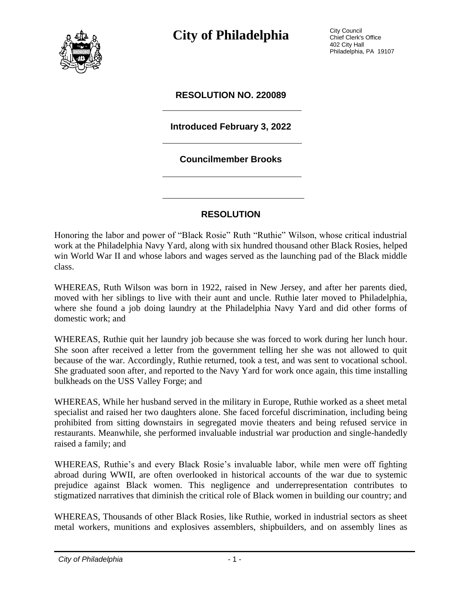

**City of Philadelphia** City Council

Chief Clerk's Office 402 City Hall Philadelphia, PA 19107

#### **RESOLUTION NO. 220089**

#### **Introduced February 3, 2022**

#### **Councilmember Brooks**

#### **RESOLUTION**

Honoring the labor and power of "Black Rosie" Ruth "Ruthie" Wilson, whose critical industrial work at the Philadelphia Navy Yard, along with six hundred thousand other Black Rosies, helped win World War II and whose labors and wages served as the launching pad of the Black middle class.

WHEREAS, Ruth Wilson was born in 1922, raised in New Jersey, and after her parents died, moved with her siblings to live with their aunt and uncle. Ruthie later moved to Philadelphia, where she found a job doing laundry at the Philadelphia Navy Yard and did other forms of domestic work; and

WHEREAS, Ruthie quit her laundry job because she was forced to work during her lunch hour. She soon after received a letter from the government telling her she was not allowed to quit because of the war. Accordingly, Ruthie returned, took a test, and was sent to vocational school. She graduated soon after, and reported to the Navy Yard for work once again, this time installing bulkheads on the USS Valley Forge; and

WHEREAS, While her husband served in the military in Europe, Ruthie worked as a sheet metal specialist and raised her two daughters alone. She faced forceful discrimination, including being prohibited from sitting downstairs in segregated movie theaters and being refused service in restaurants. Meanwhile, she performed invaluable industrial war production and single-handedly raised a family; and

WHEREAS, Ruthie's and every Black Rosie's invaluable labor, while men were off fighting abroad during WWII, are often overlooked in historical accounts of the war due to systemic prejudice against Black women. This negligence and underrepresentation contributes to stigmatized narratives that diminish the critical role of Black women in building our country; and

WHEREAS, Thousands of other Black Rosies, like Ruthie, worked in industrial sectors as sheet metal workers, munitions and explosives assemblers, shipbuilders, and on assembly lines as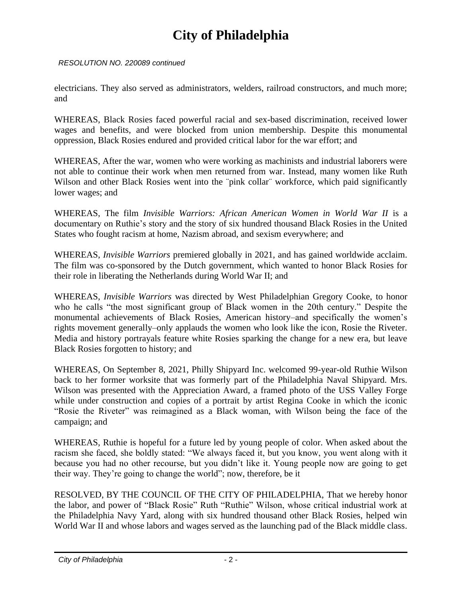## **City of Philadelphia**

*RESOLUTION NO. 220089 continued*

electricians. They also served as administrators, welders, railroad constructors, and much more; and

WHEREAS, Black Rosies faced powerful racial and sex-based discrimination, received lower wages and benefits, and were blocked from union membership. Despite this monumental oppression, Black Rosies endured and provided critical labor for the war effort; and

WHEREAS, After the war, women who were working as machinists and industrial laborers were not able to continue their work when men returned from war. Instead, many women like Ruth Wilson and other Black Rosies went into the "pink collar" workforce, which paid significantly lower wages; and

WHEREAS, The film *Invisible Warriors: African American Women in World War II* is a documentary on Ruthie's story and the story of six hundred thousand Black Rosies in the United States who fought racism at home, Nazism abroad, and sexism everywhere; and

WHEREAS, *Invisible Warriors* premiered globally in 2021, and has gained worldwide acclaim. The film was co-sponsored by the Dutch government, which wanted to honor Black Rosies for their role in liberating the Netherlands during World War II; and

WHEREAS, *Invisible Warriors* was directed by West Philadelphian Gregory Cooke, to honor who he calls "the most significant group of Black women in the 20th century." Despite the monumental achievements of Black Rosies, American history–and specifically the women's rights movement generally–only applauds the women who look like the icon, Rosie the Riveter. Media and history portrayals feature white Rosies sparking the change for a new era, but leave Black Rosies forgotten to history; and

WHEREAS, On September 8, 2021, Philly Shipyard Inc. welcomed 99-year-old Ruthie Wilson back to her former worksite that was formerly part of the Philadelphia Naval Shipyard. Mrs. Wilson was presented with the Appreciation Award, a framed photo of the USS Valley Forge while under construction and copies of a portrait by artist Regina Cooke in which the iconic "Rosie the Riveter" was reimagined as a Black woman, with Wilson being the face of the campaign; and

WHEREAS, Ruthie is hopeful for a future led by young people of color. When asked about the racism she faced, she boldly stated: "We always faced it, but you know, you went along with it because you had no other recourse, but you didn't like it. Young people now are going to get their way. They're going to change the world"; now, therefore, be it

RESOLVED, BY THE COUNCIL OF THE CITY OF PHILADELPHIA, That we hereby honor the labor, and power of "Black Rosie" Ruth "Ruthie" Wilson, whose critical industrial work at the Philadelphia Navy Yard, along with six hundred thousand other Black Rosies, helped win World War II and whose labors and wages served as the launching pad of the Black middle class.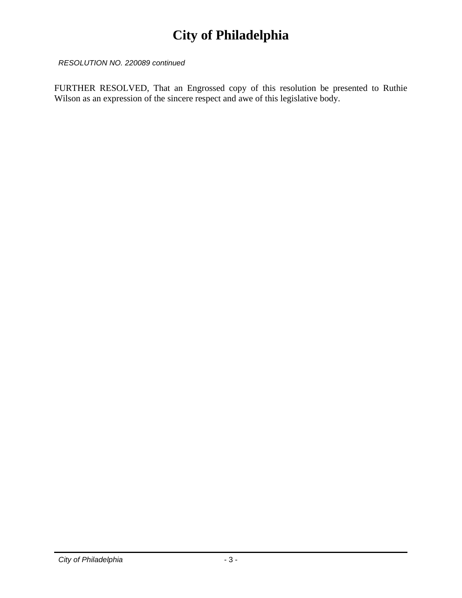### **City of Philadelphia**

*RESOLUTION NO. 220089 continued*

FURTHER RESOLVED, That an Engrossed copy of this resolution be presented to Ruthie Wilson as an expression of the sincere respect and awe of this legislative body.